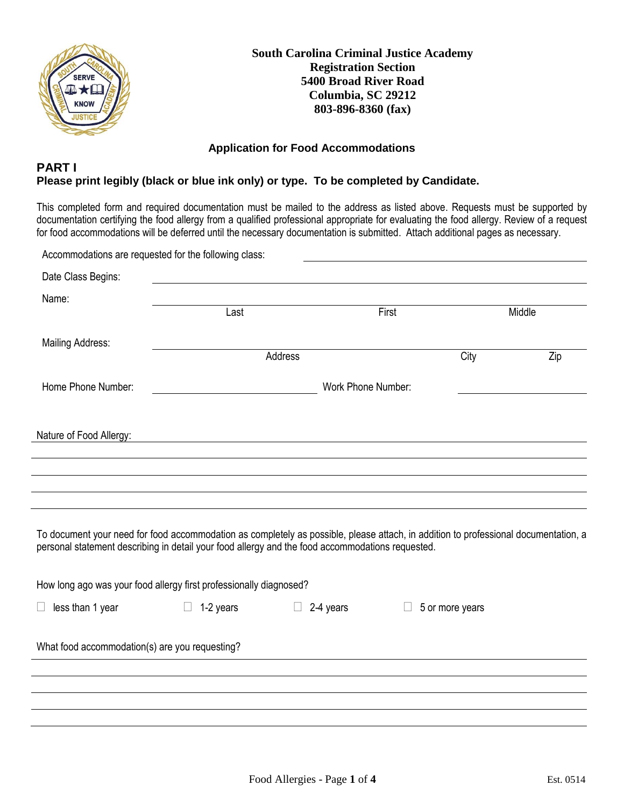

**South Carolina Criminal Justice Academy Registration Section 5400 Broad River Road Columbia, SC 29212 803-896-8360 (fax)**

#### **Application for Food Accommodations**

#### **PART I Please print legibly (black or blue ink only) or type. To be completed by Candidate.**

This completed form and required documentation must be mailed to the address as listed above. Requests must be supported by documentation certifying the food allergy from a qualified professional appropriate for evaluating the food allergy. Review of a request for food accommodations will be deferred until the necessary documentation is submitted. Attach additional pages as necessary.

|                                                                                                                                                                                                                                         | Accommodations are requested for the following class: |                     |                    |                 |     |
|-----------------------------------------------------------------------------------------------------------------------------------------------------------------------------------------------------------------------------------------|-------------------------------------------------------|---------------------|--------------------|-----------------|-----|
| Date Class Begins:                                                                                                                                                                                                                      |                                                       |                     |                    |                 |     |
| Name:                                                                                                                                                                                                                                   | Last                                                  |                     | First              | Middle          |     |
| Mailing Address:                                                                                                                                                                                                                        |                                                       | Address             |                    | City            | Zip |
| Home Phone Number:                                                                                                                                                                                                                      |                                                       |                     | Work Phone Number: |                 |     |
| Nature of Food Allergy:                                                                                                                                                                                                                 |                                                       |                     |                    |                 |     |
|                                                                                                                                                                                                                                         |                                                       |                     |                    |                 |     |
|                                                                                                                                                                                                                                         |                                                       |                     |                    |                 |     |
| To document your need for food accommodation as completely as possible, please attach, in addition to professional documentation, a<br>personal statement describing in detail your food allergy and the food accommodations requested. |                                                       |                     |                    |                 |     |
| How long ago was your food allergy first professionally diagnosed?                                                                                                                                                                      |                                                       |                     |                    |                 |     |
| less than 1 year                                                                                                                                                                                                                        | 1-2 years<br>$\Box$                                   | 2-4 years<br>$\Box$ |                    | 5 or more years |     |
| What food accommodation(s) are you requesting?                                                                                                                                                                                          |                                                       |                     |                    |                 |     |
|                                                                                                                                                                                                                                         |                                                       |                     |                    |                 |     |
|                                                                                                                                                                                                                                         |                                                       |                     |                    |                 |     |
|                                                                                                                                                                                                                                         |                                                       |                     |                    |                 |     |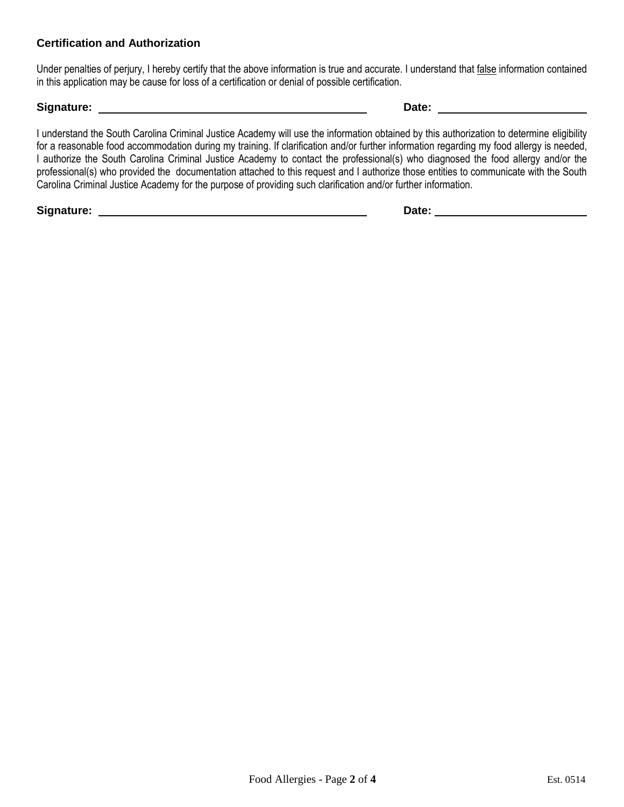### **Certification and Authorization**

Under penalties of perjury, I hereby certify that the above information is true and accurate. I understand that false information contained in this application may be cause for loss of a certification or denial of possible certification.

#### **Signature: Date:**

I understand the South Carolina Criminal Justice Academy will use the information obtained by this authorization to determine eligibility for a reasonable food accommodation during my training. If clarification and/or further information regarding my food allergy is needed, I authorize the South Carolina Criminal Justice Academy to contact the professional(s) who diagnosed the food allergy and/or the professional(s) who provided the documentation attached to this request and I authorize those entities to communicate with the South Carolina Criminal Justice Academy for the purpose of providing such clarification and/or further information.

**Signature: Date:**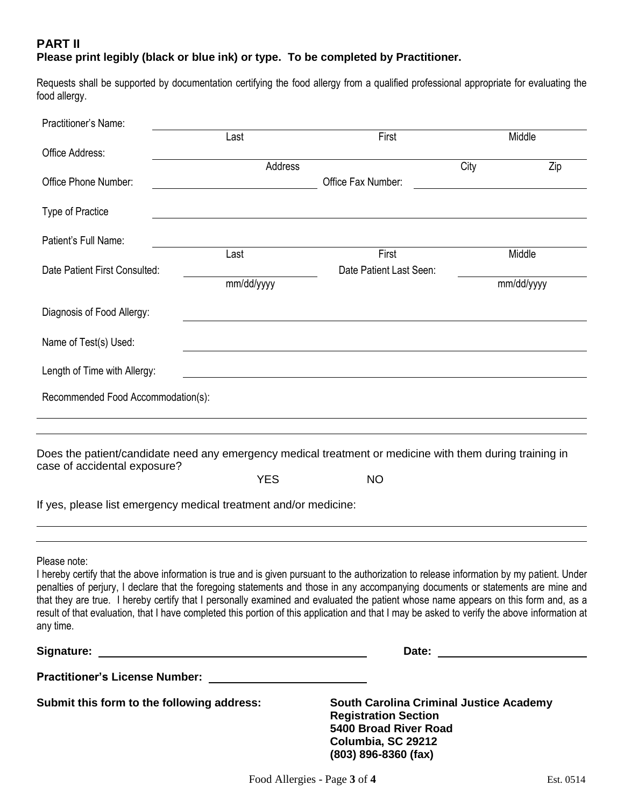## **PART II Please print legibly (black or blue ink) or type. To be completed by Practitioner.**

Requests shall be supported by documentation certifying the food allergy from a qualified professional appropriate for evaluating the food allergy.

| Practitioner's Name:                                                                                                                                                                                                                                                                                                                                                                                                                                                                                                                                                                               |            |                                                                                                                                                        |             |  |
|----------------------------------------------------------------------------------------------------------------------------------------------------------------------------------------------------------------------------------------------------------------------------------------------------------------------------------------------------------------------------------------------------------------------------------------------------------------------------------------------------------------------------------------------------------------------------------------------------|------------|--------------------------------------------------------------------------------------------------------------------------------------------------------|-------------|--|
| Office Address:                                                                                                                                                                                                                                                                                                                                                                                                                                                                                                                                                                                    | Last       | First                                                                                                                                                  | Middle      |  |
|                                                                                                                                                                                                                                                                                                                                                                                                                                                                                                                                                                                                    | Address    |                                                                                                                                                        | Zip<br>City |  |
| Office Phone Number:                                                                                                                                                                                                                                                                                                                                                                                                                                                                                                                                                                               |            | Office Fax Number:                                                                                                                                     |             |  |
| <b>Type of Practice</b>                                                                                                                                                                                                                                                                                                                                                                                                                                                                                                                                                                            |            |                                                                                                                                                        |             |  |
| Patient's Full Name:                                                                                                                                                                                                                                                                                                                                                                                                                                                                                                                                                                               |            |                                                                                                                                                        |             |  |
|                                                                                                                                                                                                                                                                                                                                                                                                                                                                                                                                                                                                    | Last       | First                                                                                                                                                  | Middle      |  |
| Date Patient First Consulted:                                                                                                                                                                                                                                                                                                                                                                                                                                                                                                                                                                      | mm/dd/yyyy | Date Patient Last Seen:                                                                                                                                | mm/dd/yyyy  |  |
| Diagnosis of Food Allergy:                                                                                                                                                                                                                                                                                                                                                                                                                                                                                                                                                                         |            |                                                                                                                                                        |             |  |
| Name of Test(s) Used:                                                                                                                                                                                                                                                                                                                                                                                                                                                                                                                                                                              |            |                                                                                                                                                        |             |  |
| Length of Time with Allergy:                                                                                                                                                                                                                                                                                                                                                                                                                                                                                                                                                                       |            |                                                                                                                                                        |             |  |
|                                                                                                                                                                                                                                                                                                                                                                                                                                                                                                                                                                                                    |            |                                                                                                                                                        |             |  |
| Recommended Food Accommodation(s):                                                                                                                                                                                                                                                                                                                                                                                                                                                                                                                                                                 |            |                                                                                                                                                        |             |  |
| Does the patient/candidate need any emergency medical treatment or medicine with them during training in<br>case of accidental exposure?<br>If yes, please list emergency medical treatment and/or medicine:                                                                                                                                                                                                                                                                                                                                                                                       | <b>YES</b> | <b>NO</b>                                                                                                                                              |             |  |
| Please note:<br>I hereby certify that the above information is true and is given pursuant to the authorization to release information by my patient. Under<br>penalties of perjury, I declare that the foregoing statements and those in any accompanying documents or statements are mine and<br>that they are true. I hereby certify that I personally examined and evaluated the patient whose name appears on this form and, as a<br>result of that evaluation, that I have completed this portion of this application and that I may be asked to verify the above information at<br>any time. |            |                                                                                                                                                        |             |  |
|                                                                                                                                                                                                                                                                                                                                                                                                                                                                                                                                                                                                    |            |                                                                                                                                                        |             |  |
|                                                                                                                                                                                                                                                                                                                                                                                                                                                                                                                                                                                                    |            |                                                                                                                                                        |             |  |
| Submit this form to the following address:                                                                                                                                                                                                                                                                                                                                                                                                                                                                                                                                                         |            | <b>South Carolina Criminal Justice Academy</b><br><b>Registration Section</b><br>5400 Broad River Road<br>Columbia, SC 29212<br>$(803)$ 896-8360 (fax) |             |  |